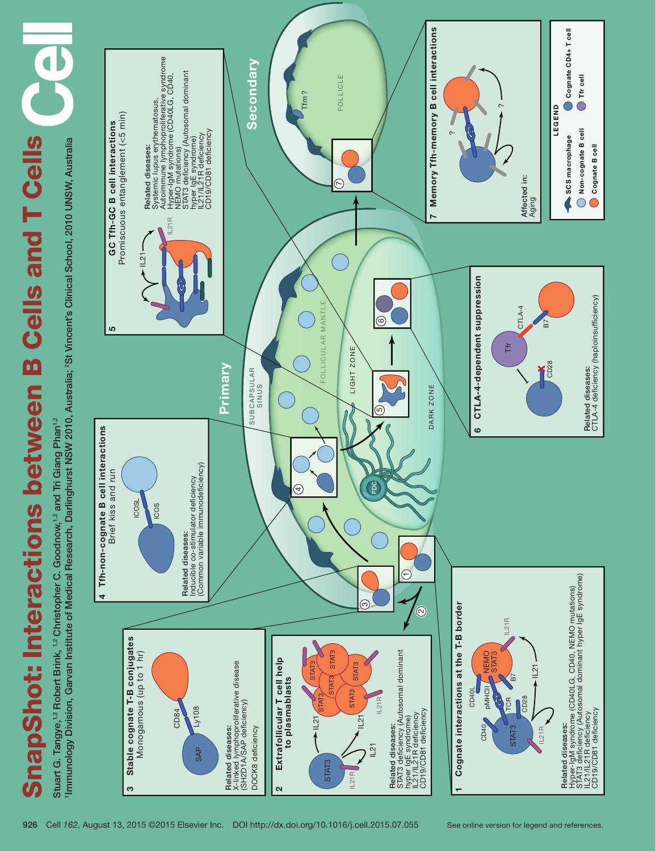